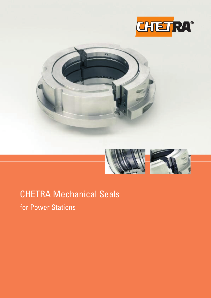





## CHETRA Mechanical Seals

for Power Stations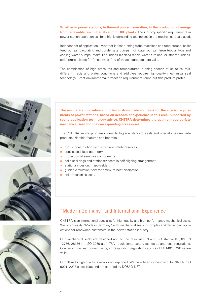**Whether in power stations, in thermal power generation, in the production of energy from renewable raw materials and in ORC plants:** The industry-specific requirements in power station operation call for a highly demanding technology in the mechanical seals used.

Independent of application – whether in fast-running turbo machines and feed pumps, boiler feed pumps, circulating and condensate pumps, hot water pumps, large tubular type and cooling water pumps, hydraulic turbines (Kaplan/Francis water turbines) or steam turbinesstrict prerequisites for functional safety of these aggregates are valid.

The combination of high pressures and temperatures, running speeds of up to 50 m/s, different media and water conditions and additives require high-quality mechanical seal technology. Strict environmental protection requirements round out this product profile.







**The results are innovative and often custom-made solutions for the special requirements of power stations, based on decades of experience in this area. Supported by sound application technology advice, CHETRA determines the optimum appropriate mechanical seal and the corresponding accessories.**

The CHETRA supply program covers high-grade standard seals and special custom-made products. Notable features and benefits:

- **»** robust construction with extensive safety reserves.
- **»** special seal face geometry.
- **»** protection of sensitive components.
- **»** solid seal rings and stationary seats in self-aligning arrangement.
- **»** stationary design, if applicable.
- **»** guided circulation flow for optimum heat dissipation.
- **»** split mechanical seal.

## "Made in Germany" and International Experience

CHETRA is an international specialist for high-quality and high-performance mechanical seals. We offer quality "Made in Germany" with mechanical seals in complex and demanding applications for renowned customers in the power station industry.

Our mechanical seals are designed acc. to the relevant DIN and ISO standards (DIN EN 12756, 28136 ff., ISO 3069 a.o.), TÜV regulations, factory standards and local regulations. Concerning nuclear power plants, corresponding regulations such as KTA 1401, OSP 4a are valid.

Our claim to high quality is reliably underpinned: We have been working acc. to DIN EN ISO 9001: 2008 since 1996 and are certified by DQS/IQ NET.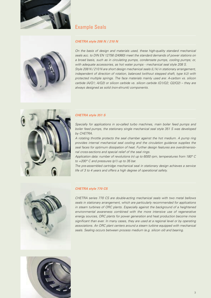



## Example Seals

### *CHETRA style 208 N / 210 N*

*On the basis of design and materials used, these high-quality standard mechanical seals acc. to DIN EN 12756 (24960) meet the standard demands of power stations on a broad basis, such as in circulating pumps, condensate pumps, cooling pumps; or, with adequate accessories, as hot water pumps - mechanical seal style 208 S. Style 208 N / 210 N are short design mechanical seals (L1k) in stationary arrangement, independent of direction of rotation, balanced (without stepped shaft, type kU) with protected multiple springs. The face materials mainly used are: A-carbon vs. silicon carbide (A/Q1; A/Q2) or silicon carbide vs. silicon carbide (Q1/Q2; Q2/Q2) – they are always designed as solid (non-shrunk) components.*



#### *CHETRA style 351 S*

*Specially for applications in so-called turbo machines, main boiler feed pumps and boiler feed pumps, the stationary single mechanical seal style 351 S was developed by CHETRA.*

*A rotating throttle protects the seal chamber against the hot medium. A pump ring provides internal mechanical seal cooling and the circulation guidance supplies the seal faces for optimum dissipation of heat. Further design features are overdimensional cross-sections and special relief of the seal rings.*

*Application data: number of revolutions (n) up to 6000 rpm, temperatures from 180° C to +200° C and pressures (p1) up to 35 bar.*

*The pre-assembled cartridge mechanical seal in stationary design achieves a service life of 3 to 4 years and offers a high degree of operational safety.*



#### *CHETRA style 770 CS*

*CHETRA series 770 CS are double-acting mechanical seals with two metal bellows seals in stationary arrangement, which are particularly recommended for applications in steam turbines of ORC plants. Especially against the background of a heightened environmental awareness combined with the more intensive use of regenerative energy sources, ORC plants for power generation and heat production become more significant than ever. In many cases, they are used at a regional level or by operating associations. An ORC plant centers around a steam turbine equipped with mechanical seals. Sealing occurs between process medium (e.g. silicon oil) and bearing.*

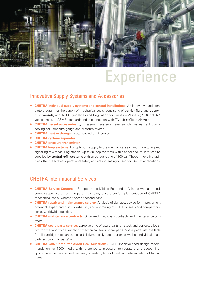

## Experience

## Innovative Supply Systems and Accessories

- **» CHETRA individual supply systems and central installations:** An innovative and complete program for the supply of mechanical seals, consisting of **barrier fluid** and **quench fluid vessels,** acc. to EU guidelines and Regulation for Pressure Vessels (PED) incl. API vessels (acc. to ASME standard) and in connection with TA-Luft (=Clean Air Act).
- **» CHETRA vessel accessories:** p/t measuring systems, level switch, manual refill pump, cooling coil, pressure gauge and pressure switch.
- **» CHETRA heat exchanger,** water-cooled or air-cooled.
- **» CHETRA cyclone separator.**
- **» CHETRA pressure transmitter.**
- **» CHETRA loop systems:** For optimum supply to the mechanical seal, with monitoring and signalling to a measuring station. Up to 50 loop systems with bladder accumulator can be supplied by **central refill systems** with an output rating of 100 bar. These innovative facilities offer the highest operational safety and are increasingly used for TA-Luft applications.

## CHETRA International Services

- **» CHETRA Service Centers** in Europe, in the Middle East and in Asia, as well as on-call service supervisors from the parent company ensure swift implementation of CHETRA mechanical seals, whether new or second-hand.
- **» CHETRA repair and maintenance service:** Analysis of damage, advice for improvement potential, expert and quick overhauling and optimizing of CHETRA seals and competitors' seals, worldwide logistics.
- **» CHETRA maintenance contracts:** Optimized fixed costs contracts and maintenance contracts.
- **» CHETRA spare parts service:** Large volume of spare parts on stock and perfected logistics for the worldwide supply of mechanical seals spare parts. Spare parts kits available for all cartridge mechanical seals (all dynamically used parts) as well as individual spare parts according to parts' unit.
- **» CHETRA CAS Computer Aided Seal Selection:** A CHETRA-developed design recommendation for 1000 media with reference to pressure, temperature and speed, incl. appropriate mechanical seal material, operation, type of seal and determination of friction power.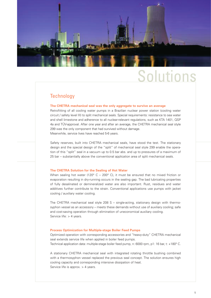

# Solution

### **Technology**

#### **The CHETRA mechanical seal was the only aggregate to survive an average**

Retrofitting of all cooling water pumps in a Brazilian nuclear power station (cooling water circuit / safety level III) to split mechanical seals. Special requirements: resistance to sea water and shell limestone and adherence to all nuclear-relevant regulations, such as KTA 1401, QSP 4a and TÜV-approval. After one year and after an average, the CHETRA mechanical seal style 299 was the only component that had survived without damage. Meanwhile, service lives have reached 5-6 years.

Safety reserves, built into CHETRA mechanical seals, have stood the test. The stationary design and the special design of the "split" of mechanical seal style 299 enable the operation of this "split" seal in a vacuum up to 0.5 bar abs. and up to pressures of a maximum of 25 bar – substantially above the conventional application area of split mechanical seals.

#### **The CHETRA Solution for the Sealing of Hot Water**

When sealing hot water (120 $^{\circ}$  C – 200 $^{\circ}$  C), it must be ensured that no mixed friction or evaporation resulting in dry-running occurs in the sealing gap. The bad lubricating properties of fully desalinated or demineralized water are also important. Rust, residues and water additives further contribute to the strain. Conventional applications use pumps with jacket cooling / auxiliary water cooling.

The CHETRA mechanical seal style 208 S – single-acting, stationary design with thermosyphon vessel as an accessory – meets these demands without use of auxiliary cooling; safe and cost-saving operation through elimination of uneconomical auxiliary cooling. Service life: > 4 years.

#### **Process Optimization for Multiple-stage Boiler Feed Pumps**

Optimized operation with corresponding accessories and "heavy-duty" CHETRA mechanical seal extends service life when applied in boiler feed pumps. Technical application data: multiple-stage boiler feed pump, n: 6000 rpm, p1: 16 bar, t: +180° C.

A stationary CHETRA mechanical seal with integrated rotating throttle bushing combined with a thermosyphon vessel replaced the previous seal concept. The solution ensures high cooling capacity and corresponding intensive dissipation of heat. Service life is approx. > 4 years.